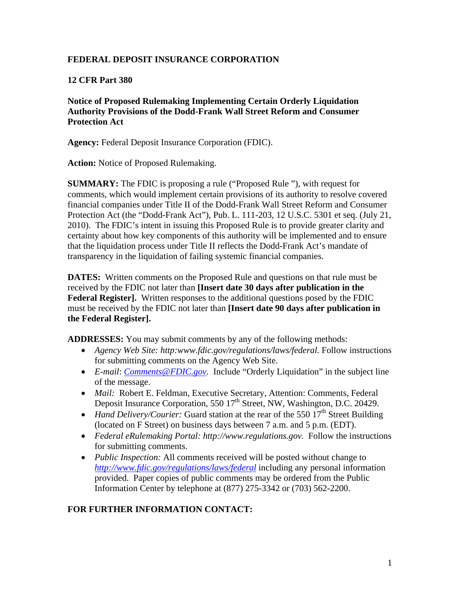# **FEDERAL DEPOSIT INSURANCE CORPORATION**

# **12 CFR Part 380**

**Notice of Proposed Rulemaking Implementing Certain Orderly Liquidation Authority Provisions of the Dodd-Frank Wall Street Reform and Consumer Protection Act** 

**Agency:** Federal Deposit Insurance Corporation (FDIC).

**Action:** Notice of Proposed Rulemaking.

**SUMMARY:** The FDIC is proposing a rule ("Proposed Rule "), with request for comments, which would implement certain provisions of its authority to resolve covered financial companies under Title II of the Dodd-Frank Wall Street Reform and Consumer Protection Act (the "Dodd-Frank Act"), Pub. L. 111-203, 12 U.S.C. 5301 et seq. (July 21, 2010). The FDIC's intent in issuing this Proposed Rule is to provide greater clarity and certainty about how key components of this authority will be implemented and to ensure that the liquidation process under Title II reflects the Dodd-Frank Act's mandate of transparency in the liquidation of failing systemic financial companies.

**DATES:** Written comments on the Proposed Rule and questions on that rule must be received by the FDIC not later than **[Insert date 30 days after publication in the Federal Register].** Written responses to the additional questions posed by the FDIC must be received by the FDIC not later than **[Insert date 90 days after publication in the Federal Register].** 

**ADDRESSES:** You may submit comments by any of the following methods:

- Agency Web Site: http:www.fdic.gov/regulations/laws/federal. Follow instructions for submitting comments on the Agency Web Site.
- *E-mail*: *Comments@FDIC.gov.* Include "Orderly Liquidation" in the subject line of the message.
- *Mail:* Robert E. Feldman, Executive Secretary, Attention: Comments, Federal Deposit Insurance Corporation, 550 17<sup>th</sup> Street, NW, Washington, D.C. 20429.
- *Hand Delivery/Courier:* Guard station at the rear of the 550  $17<sup>th</sup>$  Street Building (located on F Street) on business days between 7 a.m. and 5 p.m. (EDT).
- *Federal eRulemaking Portal: http://www.regulations.gov.* Follow the instructions for submitting comments.
- *Public Inspection:* All comments received will be posted without change to *http://www.fdic.gov/regulations/laws/federal* including any personal information provided. Paper copies of public comments may be ordered from the Public Information Center by telephone at (877) 275-3342 or (703) 562-2200.

# **FOR FURTHER INFORMATION CONTACT:**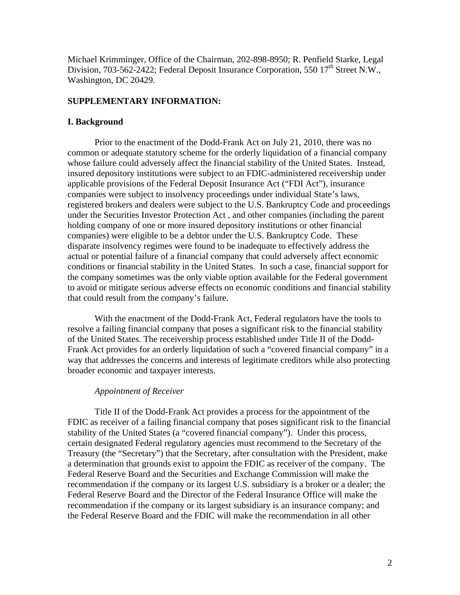Michael Krimminger, Office of the Chairman, 202-898-8950; R. Penfield Starke, Legal Division, 703-562-2422; Federal Deposit Insurance Corporation, 550  $17<sup>th</sup>$  Street N.W., Washington, DC 20429.

#### **SUPPLEMENTARY INFORMATION:**

### **I. Background**

Prior to the enactment of the Dodd-Frank Act on July 21, 2010, there was no common or adequate statutory scheme for the orderly liquidation of a financial company whose failure could adversely affect the financial stability of the United States. Instead, insured depository institutions were subject to an FDIC-administered receivership under applicable provisions of the Federal Deposit Insurance Act ("FDI Act"), insurance companies were subject to insolvency proceedings under individual State's laws, registered brokers and dealers were subject to the U.S. Bankruptcy Code and proceedings under the Securities Investor Protection Act , and other companies (including the parent holding company of one or more insured depository institutions or other financial companies) were eligible to be a debtor under the U.S. Bankruptcy Code. These disparate insolvency regimes were found to be inadequate to effectively address the actual or potential failure of a financial company that could adversely affect economic conditions or financial stability in the United States. In such a case, financial support for the company sometimes was the only viable option available for the Federal government to avoid or mitigate serious adverse effects on economic conditions and financial stability that could result from the company's failure.

With the enactment of the Dodd-Frank Act, Federal regulators have the tools to resolve a failing financial company that poses a significant risk to the financial stability of the United States. The receivership process established under Title II of the Dodd-Frank Act provides for an orderly liquidation of such a "covered financial company" in a way that addresses the concerns and interests of legitimate creditors while also protecting broader economic and taxpayer interests.

#### *Appointment of Receiver*

Title II of the Dodd-Frank Act provides a process for the appointment of the FDIC as receiver of a failing financial company that poses significant risk to the financial stability of the United States (a "covered financial company"). Under this process, certain designated Federal regulatory agencies must recommend to the Secretary of the Treasury (the "Secretary") that the Secretary, after consultation with the President, make a determination that grounds exist to appoint the FDIC as receiver of the company. The Federal Reserve Board and the Securities and Exchange Commission will make the recommendation if the company or its largest U.S. subsidiary is a broker or a dealer; the Federal Reserve Board and the Director of the Federal Insurance Office will make the recommendation if the company or its largest subsidiary is an insurance company; and the Federal Reserve Board and the FDIC will make the recommendation in all other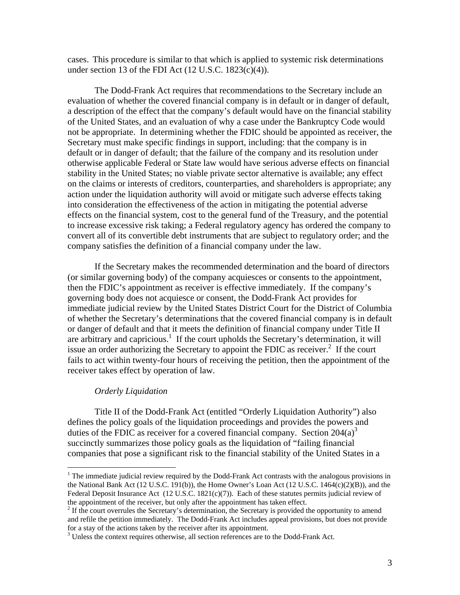cases. This procedure is similar to that which is applied to systemic risk determinations under section 13 of the FDI Act  $(12 \text{ U.S.C. } 1823(c)(4))$ .

The Dodd-Frank Act requires that recommendations to the Secretary include an evaluation of whether the covered financial company is in default or in danger of default, a description of the effect that the company's default would have on the financial stability of the United States, and an evaluation of why a case under the Bankruptcy Code would not be appropriate. In determining whether the FDIC should be appointed as receiver, the Secretary must make specific findings in support, including: that the company is in default or in danger of default; that the failure of the company and its resolution under otherwise applicable Federal or State law would have serious adverse effects on financial stability in the United States; no viable private sector alternative is available; any effect on the claims or interests of creditors, counterparties, and shareholders is appropriate; any action under the liquidation authority will avoid or mitigate such adverse effects taking into consideration the effectiveness of the action in mitigating the potential adverse effects on the financial system, cost to the general fund of the Treasury, and the potential to increase excessive risk taking; a Federal regulatory agency has ordered the company to convert all of its convertible debt instruments that are subject to regulatory order; and the company satisfies the definition of a financial company under the law.

If the Secretary makes the recommended determination and the board of directors (or similar governing body) of the company acquiesces or consents to the appointment, then the FDIC's appointment as receiver is effective immediately. If the company's governing body does not acquiesce or consent, the Dodd-Frank Act provides for immediate judicial review by the United States District Court for the District of Columbia of whether the Secretary's determinations that the covered financial company is in default or danger of default and that it meets the definition of financial company under Title II are arbitrary and capricious.<sup>1</sup> If the court upholds the Secretary's determination, it will issue an order authorizing the Secretary to appoint the FDIC as receiver. $2$  If the court fails to act within twenty-four hours of receiving the petition, then the appointment of the receiver takes effect by operation of law.

#### *Orderly Liquidation*

 $\overline{a}$ 

Title II of the Dodd-Frank Act (entitled "Orderly Liquidation Authority") also defines the policy goals of the liquidation proceedings and provides the powers and duties of the FDIC as receiver for a covered financial company. Section  $204(a)^3$ succinctly summarizes those policy goals as the liquidation of "failing financial companies that pose a significant risk to the financial stability of the United States in a

 $1$  The immediate judicial review required by the Dodd-Frank Act contrasts with the analogous provisions in the National Bank Act (12 U.S.C. 191(b)), the Home Owner's Loan Act (12 U.S.C. 1464(c)(2)(B)), and the Federal Deposit Insurance Act (12 U.S.C. 1821(c)(7)). Each of these statutes permits judicial review of the appointment of the receiver, but only after the appointment has taken effect.

 $2$  If the court overrules the Secretary's determination, the Secretary is provided the opportunity to amend and refile the petition immediately. The Dodd-Frank Act includes appeal provisions, but does not provide for a stay of the actions taken by the receiver after its appointment.

 $3$  Unless the context requires otherwise, all section references are to the Dodd-Frank Act.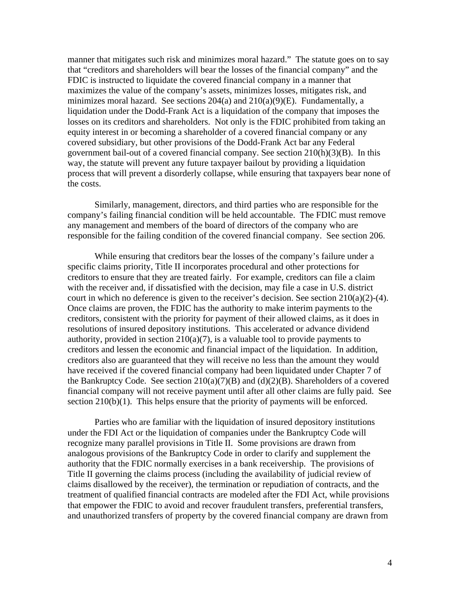manner that mitigates such risk and minimizes moral hazard." The statute goes on to say that "creditors and shareholders will bear the losses of the financial company" and the FDIC is instructed to liquidate the covered financial company in a manner that maximizes the value of the company's assets, minimizes losses, mitigates risk, and minimizes moral hazard. See sections 204(a) and 210(a)(9)(E). Fundamentally, a liquidation under the Dodd-Frank Act is a liquidation of the company that imposes the losses on its creditors and shareholders. Not only is the FDIC prohibited from taking an equity interest in or becoming a shareholder of a covered financial company or any covered subsidiary, but other provisions of the Dodd-Frank Act bar any Federal government bail-out of a covered financial company. See section 210(h)(3)(B). In this way, the statute will prevent any future taxpayer bailout by providing a liquidation process that will prevent a disorderly collapse, while ensuring that taxpayers bear none of the costs.

Similarly, management, directors, and third parties who are responsible for the company's failing financial condition will be held accountable. The FDIC must remove any management and members of the board of directors of the company who are responsible for the failing condition of the covered financial company. See section 206.

While ensuring that creditors bear the losses of the company's failure under a specific claims priority, Title II incorporates procedural and other protections for creditors to ensure that they are treated fairly. For example, creditors can file a claim with the receiver and, if dissatisfied with the decision, may file a case in U.S. district court in which no deference is given to the receiver's decision. See section 210(a)(2)-(4). Once claims are proven, the FDIC has the authority to make interim payments to the creditors, consistent with the priority for payment of their allowed claims, as it does in resolutions of insured depository institutions. This accelerated or advance dividend authority, provided in section  $210(a)(7)$ , is a valuable tool to provide payments to creditors and lessen the economic and financial impact of the liquidation. In addition, creditors also are guaranteed that they will receive no less than the amount they would have received if the covered financial company had been liquidated under Chapter 7 of the Bankruptcy Code. See section  $210(a)(7)(B)$  and  $(d)(2)(B)$ . Shareholders of a covered financial company will not receive payment until after all other claims are fully paid. See section 210(b)(1). This helps ensure that the priority of payments will be enforced.

Parties who are familiar with the liquidation of insured depository institutions under the FDI Act or the liquidation of companies under the Bankruptcy Code will recognize many parallel provisions in Title II. Some provisions are drawn from analogous provisions of the Bankruptcy Code in order to clarify and supplement the authority that the FDIC normally exercises in a bank receivership. The provisions of Title II governing the claims process (including the availability of judicial review of claims disallowed by the receiver), the termination or repudiation of contracts, and the treatment of qualified financial contracts are modeled after the FDI Act, while provisions that empower the FDIC to avoid and recover fraudulent transfers, preferential transfers, and unauthorized transfers of property by the covered financial company are drawn from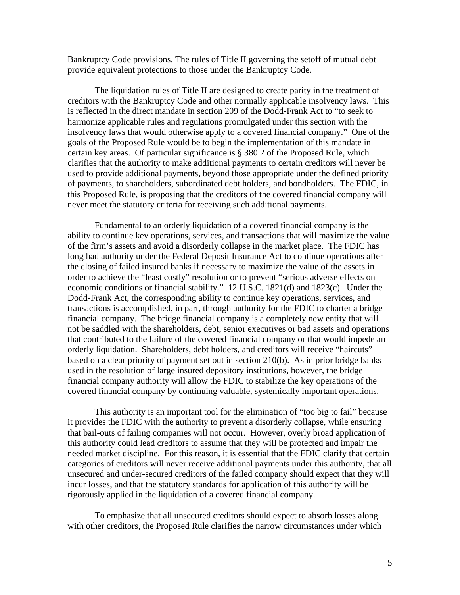Bankruptcy Code provisions. The rules of Title II governing the setoff of mutual debt provide equivalent protections to those under the Bankruptcy Code.

The liquidation rules of Title II are designed to create parity in the treatment of creditors with the Bankruptcy Code and other normally applicable insolvency laws. This is reflected in the direct mandate in section 209 of the Dodd-Frank Act to "to seek to harmonize applicable rules and regulations promulgated under this section with the insolvency laws that would otherwise apply to a covered financial company." One of the goals of the Proposed Rule would be to begin the implementation of this mandate in certain key areas. Of particular significance is § 380.2 of the Proposed Rule, which clarifies that the authority to make additional payments to certain creditors will never be used to provide additional payments, beyond those appropriate under the defined priority of payments, to shareholders, subordinated debt holders, and bondholders. The FDIC, in this Proposed Rule, is proposing that the creditors of the covered financial company will never meet the statutory criteria for receiving such additional payments.

Fundamental to an orderly liquidation of a covered financial company is the ability to continue key operations, services, and transactions that will maximize the value of the firm's assets and avoid a disorderly collapse in the market place. The FDIC has long had authority under the Federal Deposit Insurance Act to continue operations after the closing of failed insured banks if necessary to maximize the value of the assets in order to achieve the "least costly" resolution or to prevent "serious adverse effects on economic conditions or financial stability." 12 U.S.C. 1821(d) and 1823(c). Under the Dodd-Frank Act, the corresponding ability to continue key operations, services, and transactions is accomplished, in part, through authority for the FDIC to charter a bridge financial company. The bridge financial company is a completely new entity that will not be saddled with the shareholders, debt, senior executives or bad assets and operations that contributed to the failure of the covered financial company or that would impede an orderly liquidation. Shareholders, debt holders, and creditors will receive "haircuts" based on a clear priority of payment set out in section 210(b). As in prior bridge banks used in the resolution of large insured depository institutions, however, the bridge financial company authority will allow the FDIC to stabilize the key operations of the covered financial company by continuing valuable, systemically important operations.

This authority is an important tool for the elimination of "too big to fail" because it provides the FDIC with the authority to prevent a disorderly collapse, while ensuring that bail-outs of failing companies will not occur. However, overly broad application of this authority could lead creditors to assume that they will be protected and impair the needed market discipline. For this reason, it is essential that the FDIC clarify that certain categories of creditors will never receive additional payments under this authority, that all unsecured and under-secured creditors of the failed company should expect that they will incur losses, and that the statutory standards for application of this authority will be rigorously applied in the liquidation of a covered financial company.

To emphasize that all unsecured creditors should expect to absorb losses along with other creditors, the Proposed Rule clarifies the narrow circumstances under which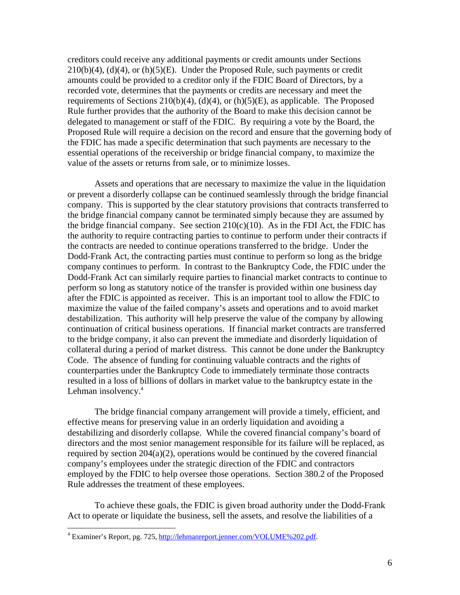creditors could receive any additional payments or credit amounts under Sections  $210(b)(4)$ , (d)(4), or (h)(5)(E). Under the Proposed Rule, such payments or credit amounts could be provided to a creditor only if the FDIC Board of Directors, by a recorded vote, determines that the payments or credits are necessary and meet the requirements of Sections 210(b)(4), (d)(4), or (h)(5)(E), as applicable. The Proposed Rule further provides that the authority of the Board to make this decision cannot be delegated to management or staff of the FDIC. By requiring a vote by the Board, the Proposed Rule will require a decision on the record and ensure that the governing body of the FDIC has made a specific determination that such payments are necessary to the essential operations of the receivership or bridge financial company, to maximize the value of the assets or returns from sale, or to minimize losses.

Assets and operations that are necessary to maximize the value in the liquidation or prevent a disorderly collapse can be continued seamlessly through the bridge financial company. This is supported by the clear statutory provisions that contracts transferred to the bridge financial company cannot be terminated simply because they are assumed by the bridge financial company. See section  $210(c)(10)$ . As in the FDI Act, the FDIC has the authority to require contracting parties to continue to perform under their contracts if the contracts are needed to continue operations transferred to the bridge. Under the Dodd-Frank Act, the contracting parties must continue to perform so long as the bridge company continues to perform. In contrast to the Bankruptcy Code, the FDIC under the Dodd-Frank Act can similarly require parties to financial market contracts to continue to perform so long as statutory notice of the transfer is provided within one business day after the FDIC is appointed as receiver. This is an important tool to allow the FDIC to maximize the value of the failed company's assets and operations and to avoid market destabilization. This authority will help preserve the value of the company by allowing continuation of critical business operations. If financial market contracts are transferred to the bridge company, it also can prevent the immediate and disorderly liquidation of collateral during a period of market distress. This cannot be done under the Bankruptcy Code. The absence of funding for continuing valuable contracts and the rights of counterparties under the Bankruptcy Code to immediately terminate those contracts resulted in a loss of billions of dollars in market value to the bankruptcy estate in the Lehman insolvency.<sup>4</sup>

The bridge financial company arrangement will provide a timely, efficient, and effective means for preserving value in an orderly liquidation and avoiding a destabilizing and disorderly collapse. While the covered financial company's board of directors and the most senior management responsible for its failure will be replaced, as required by section 204(a)(2), operations would be continued by the covered financial company's employees under the strategic direction of the FDIC and contractors employed by the FDIC to help oversee those operations. Section 380.2 of the Proposed Rule addresses the treatment of these employees.

To achieve these goals, the FDIC is given broad authority under the Dodd-Frank Act to operate or liquidate the business, sell the assets, and resolve the liabilities of a

 $\overline{a}$ 

<sup>&</sup>lt;sup>4</sup> Examiner's Report, pg. 725, http://lehmanreport.jenner.com/VOLUME%202.pdf.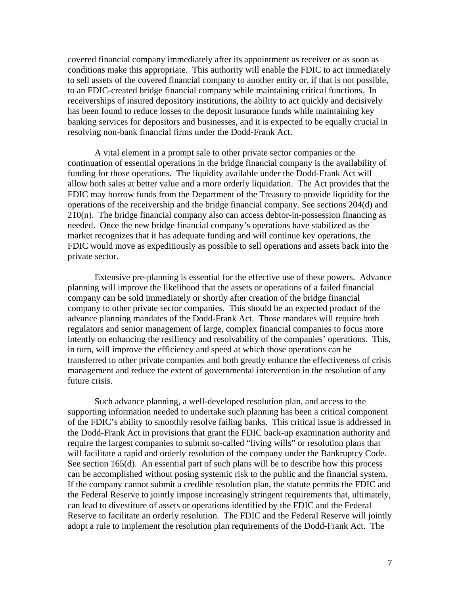covered financial company immediately after its appointment as receiver or as soon as conditions make this appropriate. This authority will enable the FDIC to act immediately to sell assets of the covered financial company to another entity or, if that is not possible, to an FDIC-created bridge financial company while maintaining critical functions. In receiverships of insured depository institutions, the ability to act quickly and decisively has been found to reduce losses to the deposit insurance funds while maintaining key banking services for depositors and businesses, and it is expected to be equally crucial in resolving non-bank financial firms under the Dodd-Frank Act.

A vital element in a prompt sale to other private sector companies or the continuation of essential operations in the bridge financial company is the availability of funding for those operations. The liquidity available under the Dodd-Frank Act will allow both sales at better value and a more orderly liquidation. The Act provides that the FDIC may borrow funds from the Department of the Treasury to provide liquidity for the operations of the receivership and the bridge financial company. See sections 204(d) and 210(n). The bridge financial company also can access debtor-in-possession financing as needed. Once the new bridge financial company's operations have stabilized as the market recognizes that it has adequate funding and will continue key operations, the FDIC would move as expeditiously as possible to sell operations and assets back into the private sector.

Extensive pre-planning is essential for the effective use of these powers. Advance planning will improve the likelihood that the assets or operations of a failed financial company can be sold immediately or shortly after creation of the bridge financial company to other private sector companies. This should be an expected product of the advance planning mandates of the Dodd-Frank Act. Those mandates will require both regulators and senior management of large, complex financial companies to focus more intently on enhancing the resiliency and resolvability of the companies' operations. This, in turn, will improve the efficiency and speed at which those operations can be transferred to other private companies and both greatly enhance the effectiveness of crisis management and reduce the extent of governmental intervention in the resolution of any future crisis.

Such advance planning, a well-developed resolution plan, and access to the supporting information needed to undertake such planning has been a critical component of the FDIC's ability to smoothly resolve failing banks. This critical issue is addressed in the Dodd-Frank Act in provisions that grant the FDIC back-up examination authority and require the largest companies to submit so-called "living wills" or resolution plans that will facilitate a rapid and orderly resolution of the company under the Bankruptcy Code. See section 165(d). An essential part of such plans will be to describe how this process can be accomplished without posing systemic risk to the public and the financial system. If the company cannot submit a credible resolution plan, the statute permits the FDIC and the Federal Reserve to jointly impose increasingly stringent requirements that, ultimately, can lead to divestiture of assets or operations identified by the FDIC and the Federal Reserve to facilitate an orderly resolution. The FDIC and the Federal Reserve will jointly adopt a rule to implement the resolution plan requirements of the Dodd-Frank Act. The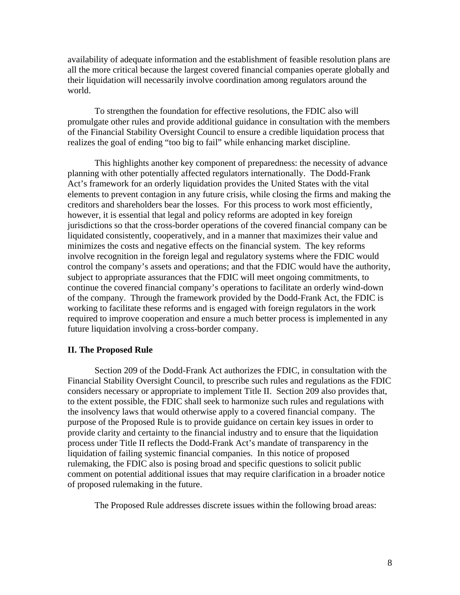availability of adequate information and the establishment of feasible resolution plans are all the more critical because the largest covered financial companies operate globally and their liquidation will necessarily involve coordination among regulators around the world.

To strengthen the foundation for effective resolutions, the FDIC also will promulgate other rules and provide additional guidance in consultation with the members of the Financial Stability Oversight Council to ensure a credible liquidation process that realizes the goal of ending "too big to fail" while enhancing market discipline.

This highlights another key component of preparedness: the necessity of advance planning with other potentially affected regulators internationally. The Dodd-Frank Act's framework for an orderly liquidation provides the United States with the vital elements to prevent contagion in any future crisis, while closing the firms and making the creditors and shareholders bear the losses. For this process to work most efficiently, however, it is essential that legal and policy reforms are adopted in key foreign jurisdictions so that the cross-border operations of the covered financial company can be liquidated consistently, cooperatively, and in a manner that maximizes their value and minimizes the costs and negative effects on the financial system. The key reforms involve recognition in the foreign legal and regulatory systems where the FDIC would control the company's assets and operations; and that the FDIC would have the authority, subject to appropriate assurances that the FDIC will meet ongoing commitments, to continue the covered financial company's operations to facilitate an orderly wind-down of the company. Through the framework provided by the Dodd-Frank Act, the FDIC is working to facilitate these reforms and is engaged with foreign regulators in the work required to improve cooperation and ensure a much better process is implemented in any future liquidation involving a cross-border company.

#### **II. The Proposed Rule**

Section 209 of the Dodd-Frank Act authorizes the FDIC, in consultation with the Financial Stability Oversight Council, to prescribe such rules and regulations as the FDIC considers necessary or appropriate to implement Title II. Section 209 also provides that, to the extent possible, the FDIC shall seek to harmonize such rules and regulations with the insolvency laws that would otherwise apply to a covered financial company. The purpose of the Proposed Rule is to provide guidance on certain key issues in order to provide clarity and certainty to the financial industry and to ensure that the liquidation process under Title II reflects the Dodd-Frank Act's mandate of transparency in the liquidation of failing systemic financial companies. In this notice of proposed rulemaking, the FDIC also is posing broad and specific questions to solicit public comment on potential additional issues that may require clarification in a broader notice of proposed rulemaking in the future.

The Proposed Rule addresses discrete issues within the following broad areas: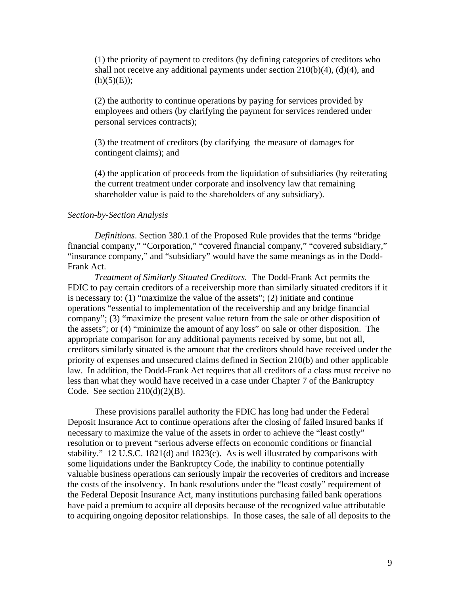(1) the priority of payment to creditors (by defining categories of creditors who shall not receive any additional payments under section  $210(b)(4)$ ,  $(d)(4)$ , and  $(h)(5)(E)$ ;

(2) the authority to continue operations by paying for services provided by employees and others (by clarifying the payment for services rendered under personal services contracts);

(3) the treatment of creditors (by clarifying the measure of damages for contingent claims); and

(4) the application of proceeds from the liquidation of subsidiaries (by reiterating the current treatment under corporate and insolvency law that remaining shareholder value is paid to the shareholders of any subsidiary).

### *Section-by-Section Analysis*

*Definitions*. Section 380.1 of the Proposed Rule provides that the terms "bridge financial company," "Corporation," "covered financial company," "covered subsidiary," "insurance company," and "subsidiary" would have the same meanings as in the Dodd-Frank Act.

*Treatment of Similarly Situated Creditors.* The Dodd-Frank Act permits the FDIC to pay certain creditors of a receivership more than similarly situated creditors if it is necessary to: (1) "maximize the value of the assets"; (2) initiate and continue operations "essential to implementation of the receivership and any bridge financial company"; (3) "maximize the present value return from the sale or other disposition of the assets"; or (4) "minimize the amount of any loss" on sale or other disposition. The appropriate comparison for any additional payments received by some, but not all, creditors similarly situated is the amount that the creditors should have received under the priority of expenses and unsecured claims defined in Section 210(b) and other applicable law. In addition, the Dodd-Frank Act requires that all creditors of a class must receive no less than what they would have received in a case under Chapter 7 of the Bankruptcy Code. See section  $210(d)(2)(B)$ .

These provisions parallel authority the FDIC has long had under the Federal Deposit Insurance Act to continue operations after the closing of failed insured banks if necessary to maximize the value of the assets in order to achieve the "least costly" resolution or to prevent "serious adverse effects on economic conditions or financial stability."  $12 \text{ U.S.C. } 1821(d)$  and  $1823(c)$ . As is well illustrated by comparisons with some liquidations under the Bankruptcy Code, the inability to continue potentially valuable business operations can seriously impair the recoveries of creditors and increase the costs of the insolvency. In bank resolutions under the "least costly" requirement of the Federal Deposit Insurance Act, many institutions purchasing failed bank operations have paid a premium to acquire all deposits because of the recognized value attributable to acquiring ongoing depositor relationships. In those cases, the sale of all deposits to the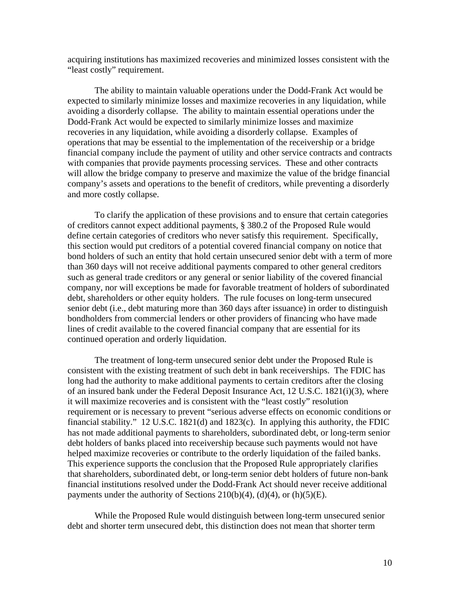acquiring institutions has maximized recoveries and minimized losses consistent with the "least costly" requirement.

The ability to maintain valuable operations under the Dodd-Frank Act would be expected to similarly minimize losses and maximize recoveries in any liquidation, while avoiding a disorderly collapse. The ability to maintain essential operations under the Dodd-Frank Act would be expected to similarly minimize losses and maximize recoveries in any liquidation, while avoiding a disorderly collapse. Examples of operations that may be essential to the implementation of the receivership or a bridge financial company include the payment of utility and other service contracts and contracts with companies that provide payments processing services. These and other contracts will allow the bridge company to preserve and maximize the value of the bridge financial company's assets and operations to the benefit of creditors, while preventing a disorderly and more costly collapse.

To clarify the application of these provisions and to ensure that certain categories of creditors cannot expect additional payments, § 380.2 of the Proposed Rule would define certain categories of creditors who never satisfy this requirement. Specifically, this section would put creditors of a potential covered financial company on notice that bond holders of such an entity that hold certain unsecured senior debt with a term of more than 360 days will not receive additional payments compared to other general creditors such as general trade creditors or any general or senior liability of the covered financial company, nor will exceptions be made for favorable treatment of holders of subordinated debt, shareholders or other equity holders. The rule focuses on long-term unsecured senior debt (i.e., debt maturing more than 360 days after issuance) in order to distinguish bondholders from commercial lenders or other providers of financing who have made lines of credit available to the covered financial company that are essential for its continued operation and orderly liquidation.

The treatment of long-term unsecured senior debt under the Proposed Rule is consistent with the existing treatment of such debt in bank receiverships. The FDIC has long had the authority to make additional payments to certain creditors after the closing of an insured bank under the Federal Deposit Insurance Act, 12 U.S.C. 1821(i)(3), where it will maximize recoveries and is consistent with the "least costly" resolution requirement or is necessary to prevent "serious adverse effects on economic conditions or financial stability." 12 U.S.C. 1821(d) and 1823(c). In applying this authority, the FDIC has not made additional payments to shareholders, subordinated debt, or long-term senior debt holders of banks placed into receivership because such payments would not have helped maximize recoveries or contribute to the orderly liquidation of the failed banks. This experience supports the conclusion that the Proposed Rule appropriately clarifies that shareholders, subordinated debt, or long-term senior debt holders of future non-bank financial institutions resolved under the Dodd-Frank Act should never receive additional payments under the authority of Sections  $210(b)(4)$ ,  $(d)(4)$ , or  $(h)(5)(E)$ .

While the Proposed Rule would distinguish between long-term unsecured senior debt and shorter term unsecured debt, this distinction does not mean that shorter term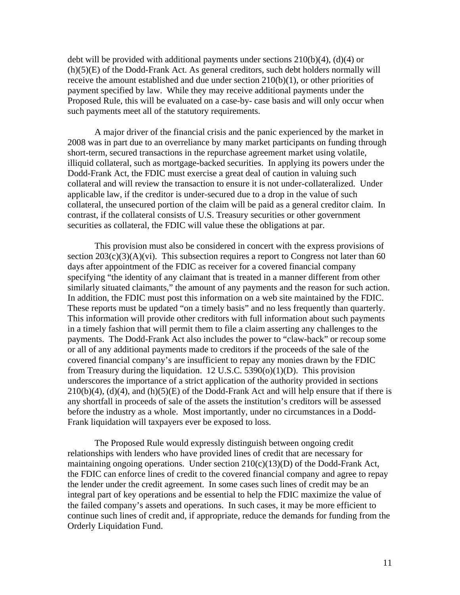debt will be provided with additional payments under sections  $210(b)(4)$ , (d)(4) or (h)(5)(E) of the Dodd-Frank Act. As general creditors, such debt holders normally will receive the amount established and due under section 210(b)(1), or other priorities of payment specified by law. While they may receive additional payments under the Proposed Rule, this will be evaluated on a case-by- case basis and will only occur when such payments meet all of the statutory requirements.

A major driver of the financial crisis and the panic experienced by the market in 2008 was in part due to an overreliance by many market participants on funding through short-term, secured transactions in the repurchase agreement market using volatile, illiquid collateral, such as mortgage-backed securities. In applying its powers under the Dodd-Frank Act, the FDIC must exercise a great deal of caution in valuing such collateral and will review the transaction to ensure it is not under-collateralized. Under applicable law, if the creditor is under-secured due to a drop in the value of such collateral, the unsecured portion of the claim will be paid as a general creditor claim. In contrast, if the collateral consists of U.S. Treasury securities or other government securities as collateral, the FDIC will value these the obligations at par.

This provision must also be considered in concert with the express provisions of section  $203(c)(3)(A)(vi)$ . This subsection requires a report to Congress not later than 60 days after appointment of the FDIC as receiver for a covered financial company specifying "the identity of any claimant that is treated in a manner different from other similarly situated claimants," the amount of any payments and the reason for such action. In addition, the FDIC must post this information on a web site maintained by the FDIC. These reports must be updated "on a timely basis" and no less frequently than quarterly. This information will provide other creditors with full information about such payments in a timely fashion that will permit them to file a claim asserting any challenges to the payments. The Dodd-Frank Act also includes the power to "claw-back" or recoup some or all of any additional payments made to creditors if the proceeds of the sale of the covered financial company's are insufficient to repay any monies drawn by the FDIC from Treasury during the liquidation.  $12 \text{ U.S.C. } 5390(0)(1)(D)$ . This provision underscores the importance of a strict application of the authority provided in sections  $210(b)(4)$ , (d)(4), and (h)(5)(E) of the Dodd-Frank Act and will help ensure that if there is any shortfall in proceeds of sale of the assets the institution's creditors will be assessed before the industry as a whole. Most importantly, under no circumstances in a Dodd-Frank liquidation will taxpayers ever be exposed to loss.

The Proposed Rule would expressly distinguish between ongoing credit relationships with lenders who have provided lines of credit that are necessary for maintaining ongoing operations. Under section  $210(c)(13)(D)$  of the Dodd-Frank Act, the FDIC can enforce lines of credit to the covered financial company and agree to repay the lender under the credit agreement. In some cases such lines of credit may be an integral part of key operations and be essential to help the FDIC maximize the value of the failed company's assets and operations. In such cases, it may be more efficient to continue such lines of credit and, if appropriate, reduce the demands for funding from the Orderly Liquidation Fund.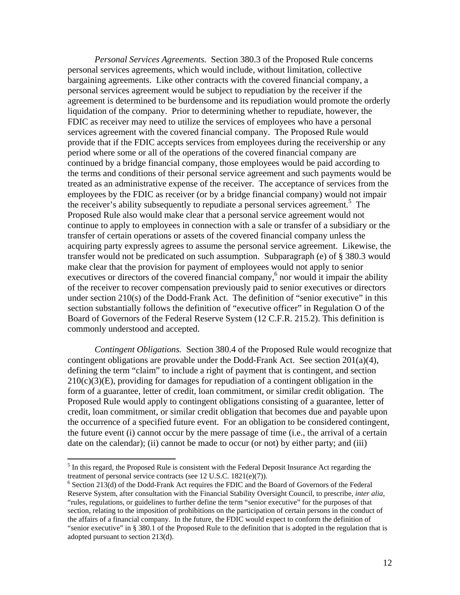*Personal Services Agreements.* Section 380.3 of the Proposed Rule concerns personal services agreements, which would include, without limitation, collective bargaining agreements. Like other contracts with the covered financial company, a personal services agreement would be subject to repudiation by the receiver if the agreement is determined to be burdensome and its repudiation would promote the orderly liquidation of the company. Prior to determining whether to repudiate, however, the FDIC as receiver may need to utilize the services of employees who have a personal services agreement with the covered financial company. The Proposed Rule would provide that if the FDIC accepts services from employees during the receivership or any period where some or all of the operations of the covered financial company are continued by a bridge financial company, those employees would be paid according to the terms and conditions of their personal service agreement and such payments would be treated as an administrative expense of the receiver. The acceptance of services from the employees by the FDIC as receiver (or by a bridge financial company) would not impair the receiver's ability subsequently to repudiate a personal services agreement.<sup>5</sup> The Proposed Rule also would make clear that a personal service agreement would not continue to apply to employees in connection with a sale or transfer of a subsidiary or the transfer of certain operations or assets of the covered financial company unless the acquiring party expressly agrees to assume the personal service agreement. Likewise, the transfer would not be predicated on such assumption. Subparagraph (e) of § 380.3 would make clear that the provision for payment of employees would not apply to senior executives or directors of the covered financial company,<sup>6</sup> nor would it impair the ability of the receiver to recover compensation previously paid to senior executives or directors under section 210(s) of the Dodd-Frank Act. The definition of "senior executive" in this section substantially follows the definition of "executive officer" in Regulation O of the Board of Governors of the Federal Reserve System (12 C.F.R. 215.2). This definition is commonly understood and accepted.

*Contingent Obligations.* Section 380.4 of the Proposed Rule would recognize that contingent obligations are provable under the Dodd-Frank Act. See section 201(a)(4), defining the term "claim" to include a right of payment that is contingent, and section  $210(c)(3)$ (E), providing for damages for repudiation of a contingent obligation in the form of a guarantee, letter of credit, loan commitment, or similar credit obligation. The Proposed Rule would apply to contingent obligations consisting of a guarantee, letter of credit, loan commitment, or similar credit obligation that becomes due and payable upon the occurrence of a specified future event. For an obligation to be considered contingent, the future event (i) cannot occur by the mere passage of time (i.e., the arrival of a certain date on the calendar); (ii) cannot be made to occur (or not) by either party; and (iii)

 $\overline{a}$ 

<sup>&</sup>lt;sup>5</sup> In this regard, the Proposed Rule is consistent with the Federal Deposit Insurance Act regarding the treatment of personal service contracts (see 12 U.S.C. 1821(e)(7)).

 $6$  Section 213(d) of the Dodd-Frank Act requires the FDIC and the Board of Governors of the Federal Reserve System, after consultation with the Financial Stability Oversight Council, to prescribe, *inter alia,*  "rules, regulations, or guidelines to further define the term "senior executive" for the purposes of that section, relating to the imposition of prohibitions on the participation of certain persons in the conduct of the affairs of a financial company. In the future, the FDIC would expect to conform the definition of "senior executive" in § 380.1 of the Proposed Rule to the definition that is adopted in the regulation that is adopted pursuant to section 213(d).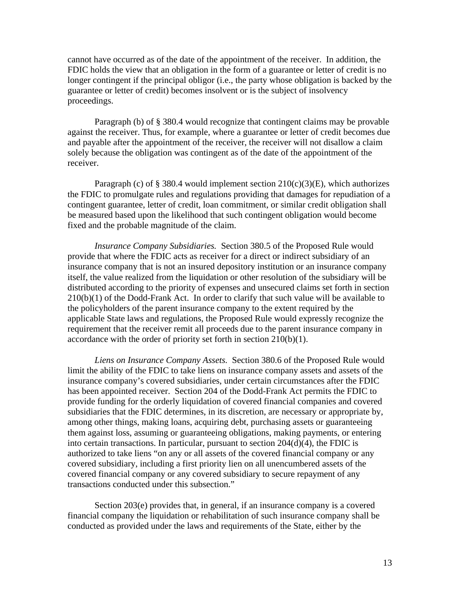cannot have occurred as of the date of the appointment of the receiver. In addition, the FDIC holds the view that an obligation in the form of a guarantee or letter of credit is no longer contingent if the principal obligor (i.e., the party whose obligation is backed by the guarantee or letter of credit) becomes insolvent or is the subject of insolvency proceedings.

Paragraph (b) of § 380.4 would recognize that contingent claims may be provable against the receiver. Thus, for example, where a guarantee or letter of credit becomes due and payable after the appointment of the receiver, the receiver will not disallow a claim solely because the obligation was contingent as of the date of the appointment of the receiver.

Paragraph (c) of § 380.4 would implement section 210(c)(3)(E)*,* which authorizes the FDIC to promulgate rules and regulations providing that damages for repudiation of a contingent guarantee, letter of credit, loan commitment, or similar credit obligation shall be measured based upon the likelihood that such contingent obligation would become fixed and the probable magnitude of the claim.

*Insurance Company Subsidiaries.* Section 380.5 of the Proposed Rule would provide that where the FDIC acts as receiver for a direct or indirect subsidiary of an insurance company that is not an insured depository institution or an insurance company itself, the value realized from the liquidation or other resolution of the subsidiary will be distributed according to the priority of expenses and unsecured claims set forth in section 210(b)(1) of the Dodd-Frank Act. In order to clarify that such value will be available to the policyholders of the parent insurance company to the extent required by the applicable State laws and regulations, the Proposed Rule would expressly recognize the requirement that the receiver remit all proceeds due to the parent insurance company in accordance with the order of priority set forth in section 210(b)(1).

*Liens on Insurance Company Assets.*Section 380.6 of the Proposed Rule would limit the ability of the FDIC to take liens on insurance company assets and assets of the insurance company's covered subsidiaries, under certain circumstances after the FDIC has been appointed receiver. Section 204 of the Dodd-Frank Act permits the FDIC to provide funding for the orderly liquidation of covered financial companies and covered subsidiaries that the FDIC determines, in its discretion, are necessary or appropriate by, among other things, making loans, acquiring debt, purchasing assets or guaranteeing them against loss, assuming or guaranteeing obligations, making payments, or entering into certain transactions. In particular, pursuant to section 204(d)(4), the FDIC is authorized to take liens "on any or all assets of the covered financial company or any covered subsidiary, including a first priority lien on all unencumbered assets of the covered financial company or any covered subsidiary to secure repayment of any transactions conducted under this subsection."

Section 203(e) provides that, in general, if an insurance company is a covered financial company the liquidation or rehabilitation of such insurance company shall be conducted as provided under the laws and requirements of the State, either by the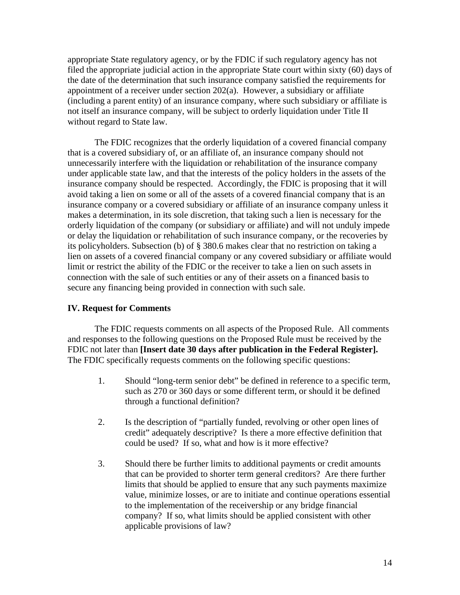appropriate State regulatory agency, or by the FDIC if such regulatory agency has not filed the appropriate judicial action in the appropriate State court within sixty (60) days of the date of the determination that such insurance company satisfied the requirements for appointment of a receiver under section  $202(a)$ . However, a subsidiary or affiliate (including a parent entity) of an insurance company, where such subsidiary or affiliate is not itself an insurance company, will be subject to orderly liquidation under Title II without regard to State law.

The FDIC recognizes that the orderly liquidation of a covered financial company that is a covered subsidiary of, or an affiliate of, an insurance company should not unnecessarily interfere with the liquidation or rehabilitation of the insurance company under applicable state law, and that the interests of the policy holders in the assets of the insurance company should be respected. Accordingly, the FDIC is proposing that it will avoid taking a lien on some or all of the assets of a covered financial company that is an insurance company or a covered subsidiary or affiliate of an insurance company unless it makes a determination, in its sole discretion, that taking such a lien is necessary for the orderly liquidation of the company (or subsidiary or affiliate) and will not unduly impede or delay the liquidation or rehabilitation of such insurance company, or the recoveries by its policyholders. Subsection (b) of § 380.6 makes clear that no restriction on taking a lien on assets of a covered financial company or any covered subsidiary or affiliate would limit or restrict the ability of the FDIC or the receiver to take a lien on such assets in connection with the sale of such entities or any of their assets on a financed basis to secure any financing being provided in connection with such sale.

### **IV. Request for Comments**

 The FDIC requests comments on all aspects of the Proposed Rule. All comments and responses to the following questions on the Proposed Rule must be received by the FDIC not later than **[Insert date 30 days after publication in the Federal Register].**  The FDIC specifically requests comments on the following specific questions:

- 1. Should "long-term senior debt" be defined in reference to a specific term, such as 270 or 360 days or some different term, or should it be defined through a functional definition?
- 2. Is the description of "partially funded, revolving or other open lines of credit" adequately descriptive? Is there a more effective definition that could be used? If so, what and how is it more effective?
- 3. Should there be further limits to additional payments or credit amounts that can be provided to shorter term general creditors? Are there further limits that should be applied to ensure that any such payments maximize value, minimize losses, or are to initiate and continue operations essential to the implementation of the receivership or any bridge financial company? If so, what limits should be applied consistent with other applicable provisions of law?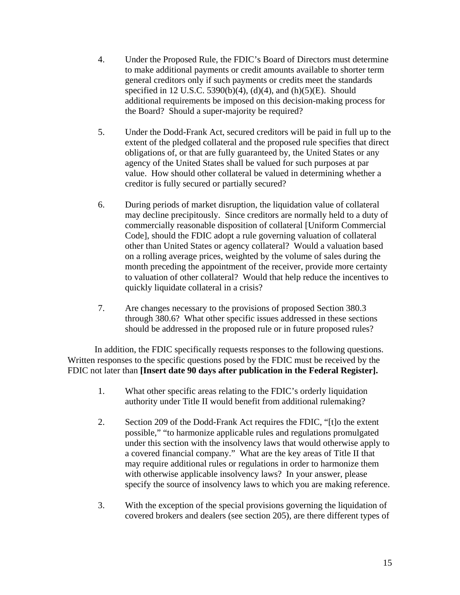- 4. Under the Proposed Rule, the FDIC's Board of Directors must determine to make additional payments or credit amounts available to shorter term general creditors only if such payments or credits meet the standards specified in 12 U.S.C. 5390(b)(4), (d)(4), and (h)(5)(E). Should additional requirements be imposed on this decision-making process for the Board? Should a super-majority be required?
- 5. Under the Dodd-Frank Act, secured creditors will be paid in full up to the extent of the pledged collateral and the proposed rule specifies that direct obligations of, or that are fully guaranteed by, the United States or any agency of the United States shall be valued for such purposes at par value. How should other collateral be valued in determining whether a creditor is fully secured or partially secured?
- 6. During periods of market disruption, the liquidation value of collateral may decline precipitously. Since creditors are normally held to a duty of commercially reasonable disposition of collateral [Uniform Commercial Code], should the FDIC adopt a rule governing valuation of collateral other than United States or agency collateral? Would a valuation based on a rolling average prices, weighted by the volume of sales during the month preceding the appointment of the receiver, provide more certainty to valuation of other collateral? Would that help reduce the incentives to quickly liquidate collateral in a crisis?
- 7. Are changes necessary to the provisions of proposed Section 380.3 through 380.6? What other specific issues addressed in these sections should be addressed in the proposed rule or in future proposed rules?

 In addition, the FDIC specifically requests responses to the following questions. Written responses to the specific questions posed by the FDIC must be received by the FDIC not later than **[Insert date 90 days after publication in the Federal Register].** 

- 1. What other specific areas relating to the FDIC's orderly liquidation authority under Title II would benefit from additional rulemaking?
- 2. Section 209 of the Dodd-Frank Act requires the FDIC, "[t]o the extent possible," "to harmonize applicable rules and regulations promulgated under this section with the insolvency laws that would otherwise apply to a covered financial company." What are the key areas of Title II that may require additional rules or regulations in order to harmonize them with otherwise applicable insolvency laws? In your answer, please specify the source of insolvency laws to which you are making reference.
- 3. With the exception of the special provisions governing the liquidation of covered brokers and dealers (see section 205), are there different types of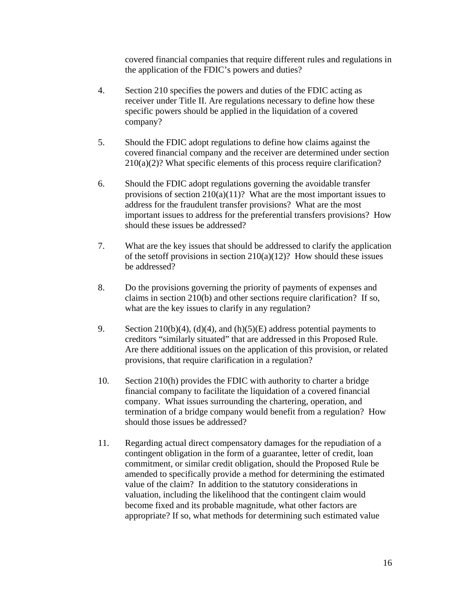covered financial companies that require different rules and regulations in the application of the FDIC's powers and duties?

- 4. Section 210 specifies the powers and duties of the FDIC acting as receiver under Title II. Are regulations necessary to define how these specific powers should be applied in the liquidation of a covered company?
- 5. Should the FDIC adopt regulations to define how claims against the covered financial company and the receiver are determined under section  $210(a)(2)$ ? What specific elements of this process require clarification?
- 6. Should the FDIC adopt regulations governing the avoidable transfer provisions of section  $210(a)(11)$ ? What are the most important issues to address for the fraudulent transfer provisions? What are the most important issues to address for the preferential transfers provisions? How should these issues be addressed?
- 7. What are the key issues that should be addressed to clarify the application of the setoff provisions in section  $210(a)(12)$ ? How should these issues be addressed?
- 8. Do the provisions governing the priority of payments of expenses and claims in section 210(b) and other sections require clarification? If so, what are the key issues to clarify in any regulation?
- 9. Section 210(b)(4), (d)(4), and (h)(5)(E) address potential payments to creditors "similarly situated" that are addressed in this Proposed Rule. Are there additional issues on the application of this provision, or related provisions, that require clarification in a regulation?
- 10. Section 210(h) provides the FDIC with authority to charter a bridge financial company to facilitate the liquidation of a covered financial company. What issues surrounding the chartering, operation, and termination of a bridge company would benefit from a regulation? How should those issues be addressed?
- 11. Regarding actual direct compensatory damages for the repudiation of a contingent obligation in the form of a guarantee, letter of credit, loan commitment, or similar credit obligation, should the Proposed Rule be amended to specifically provide a method for determining the estimated value of the claim? In addition to the statutory considerations in valuation, including the likelihood that the contingent claim would become fixed and its probable magnitude, what other factors are appropriate? If so, what methods for determining such estimated value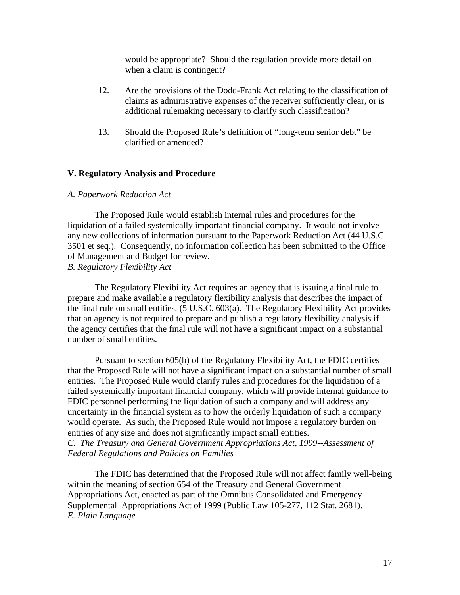would be appropriate? Should the regulation provide more detail on when a claim is contingent?

- 12. Are the provisions of the Dodd-Frank Act relating to the classification of claims as administrative expenses of the receiver sufficiently clear, or is additional rulemaking necessary to clarify such classification?
- 13. Should the Proposed Rule's definition of "long-term senior debt" be clarified or amended?

#### **V. Regulatory Analysis and Procedure**

### *A. Paperwork Reduction Act*

The Proposed Rule would establish internal rules and procedures for the liquidation of a failed systemically important financial company. It would not involve any new collections of information pursuant to the Paperwork Reduction Act (44 U.S.C. 3501 et seq.). Consequently, no information collection has been submitted to the Office of Management and Budget for review. *B. Regulatory Flexibility Act* 

The Regulatory Flexibility Act requires an agency that is issuing a final rule to prepare and make available a regulatory flexibility analysis that describes the impact of the final rule on small entities. (5 U.S.C. 603(a). The Regulatory Flexibility Act provides that an agency is not required to prepare and publish a regulatory flexibility analysis if the agency certifies that the final rule will not have a significant impact on a substantial number of small entities.

Pursuant to section 605(b) of the Regulatory Flexibility Act, the FDIC certifies that the Proposed Rule will not have a significant impact on a substantial number of small entities. The Proposed Rule would clarify rules and procedures for the liquidation of a failed systemically important financial company, which will provide internal guidance to FDIC personnel performing the liquidation of such a company and will address any uncertainty in the financial system as to how the orderly liquidation of such a company would operate. As such, the Proposed Rule would not impose a regulatory burden on entities of any size and does not significantly impact small entities. *C. The Treasury and General Government Appropriations Act, 1999--Assessment of* 

*Federal Regulations and Policies on Families* 

The FDIC has determined that the Proposed Rule will not affect family well-being within the meaning of section 654 of the Treasury and General Government Appropriations Act, enacted as part of the Omnibus Consolidated and Emergency Supplemental Appropriations Act of 1999 (Public Law 105-277, 112 Stat. 2681). *E. Plain Language*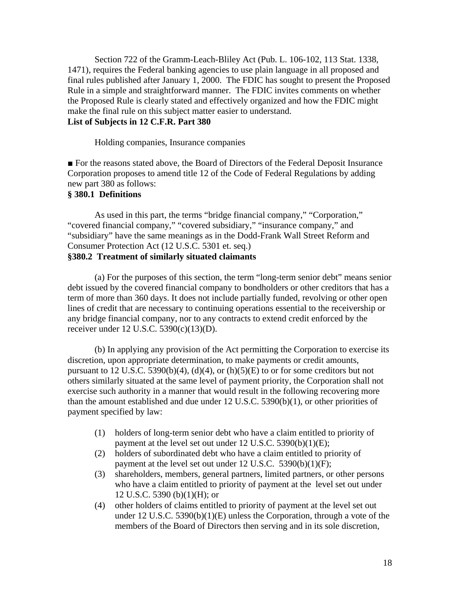Section 722 of the Gramm-Leach-Bliley Act (Pub. L. 106-102, 113 Stat. 1338, 1471), requires the Federal banking agencies to use plain language in all proposed and final rules published after January 1, 2000. The FDIC has sought to present the Proposed Rule in a simple and straightforward manner. The FDIC invites comments on whether the Proposed Rule is clearly stated and effectively organized and how the FDIC might make the final rule on this subject matter easier to understand.

# **List of Subjects in 12 C.F.R. Part 380**

Holding companies, Insurance companies

■ For the reasons stated above, the Board of Directors of the Federal Deposit Insurance Corporation proposes to amend title 12 of the Code of Federal Regulations by adding new part 380 as follows:

### **§ 380.1 Definitions**

As used in this part, the terms "bridge financial company," "Corporation," "covered financial company," "covered subsidiary," "insurance company," and "subsidiary" have the same meanings as in the Dodd-Frank Wall Street Reform and Consumer Protection Act (12 U.S.C. 5301 et. seq.) **§380.2 Treatment of similarly situated claimants** 

(a) For the purposes of this section, the term "long-term senior debt" means senior debt issued by the covered financial company to bondholders or other creditors that has a term of more than 360 days. It does not include partially funded, revolving or other open lines of credit that are necessary to continuing operations essential to the receivership or any bridge financial company, nor to any contracts to extend credit enforced by the receiver under 12 U.S.C. 5390(c)(13)(D).

(b) In applying any provision of the Act permitting the Corporation to exercise its discretion, upon appropriate determination, to make payments or credit amounts, pursuant to 12 U.S.C. 5390(b)(4), (d)(4), or (h)(5)(E) to or for some creditors but not others similarly situated at the same level of payment priority, the Corporation shall not exercise such authority in a manner that would result in the following recovering more than the amount established and due under 12 U.S.C. 5390(b)(1), or other priorities of payment specified by law:

- (1) holders of long-term senior debt who have a claim entitled to priority of payment at the level set out under 12 U.S.C. 5390(b)(1)(E);
- (2) holders of subordinated debt who have a claim entitled to priority of payment at the level set out under 12 U.S.C. 5390(b)(1)(F);
- (3) shareholders, members, general partners, limited partners, or other persons who have a claim entitled to priority of payment at the level set out under 12 U.S.C. 5390 (b)(1)(H); or
- (4) other holders of claims entitled to priority of payment at the level set out under 12 U.S.C. 5390(b)(1)(E) unless the Corporation, through a vote of the members of the Board of Directors then serving and in its sole discretion,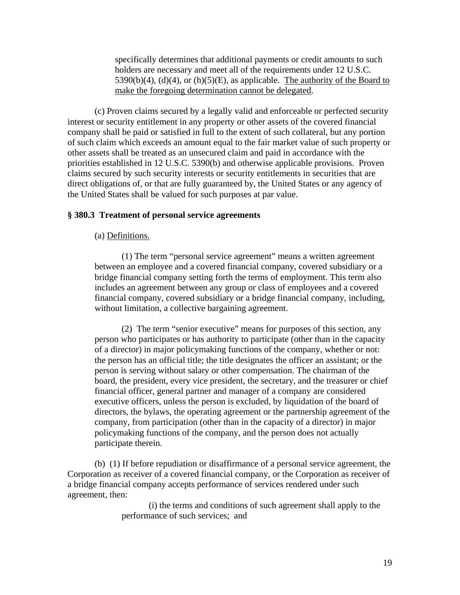specifically determines that additional payments or credit amounts to such holders are necessary and meet all of the requirements under 12 U.S.C.  $5390(b)(4)$ , (d)(4), or (h)(5)(E), as applicable. The authority of the Board to make the foregoing determination cannot be delegated.

(c) Proven claims secured by a legally valid and enforceable or perfected security interest or security entitlement in any property or other assets of the covered financial company shall be paid or satisfied in full to the extent of such collateral, but any portion of such claim which exceeds an amount equal to the fair market value of such property or other assets shall be treated as an unsecured claim and paid in accordance with the priorities established in 12 U.S.C. 5390(b) and otherwise applicable provisions. Proven claims secured by such security interests or security entitlements in securities that are direct obligations of, or that are fully guaranteed by, the United States or any agency of the United States shall be valued for such purposes at par value.

### **§ 380.3 Treatment of personal service agreements**

### (a) Definitions.

(1) The term "personal service agreement" means a written agreement between an employee and a covered financial company, covered subsidiary or a bridge financial company setting forth the terms of employment. This term also includes an agreement between any group or class of employees and a covered financial company, covered subsidiary or a bridge financial company, including, without limitation, a collective bargaining agreement.

(2) The term "senior executive" means for purposes of this section, any person who participates or has authority to participate (other than in the capacity of a director) in major policymaking functions of the company, whether or not: the person has an official title; the title designates the officer an assistant; or the person is serving without salary or other compensation. The chairman of the board, the president, every vice president, the secretary, and the treasurer or chief financial officer, general partner and manager of a company are considered executive officers, unless the person is excluded, by liquidation of the board of directors, the bylaws, the operating agreement or the partnership agreement of the company, from participation (other than in the capacity of a director) in major policymaking functions of the company, and the person does not actually participate therein.

(b) (1) If before repudiation or disaffirmance of a personal service agreement, the Corporation as receiver of a covered financial company, or the Corporation as receiver of a bridge financial company accepts performance of services rendered under such agreement, then:

> (i) the terms and conditions of such agreement shall apply to the performance of such services; and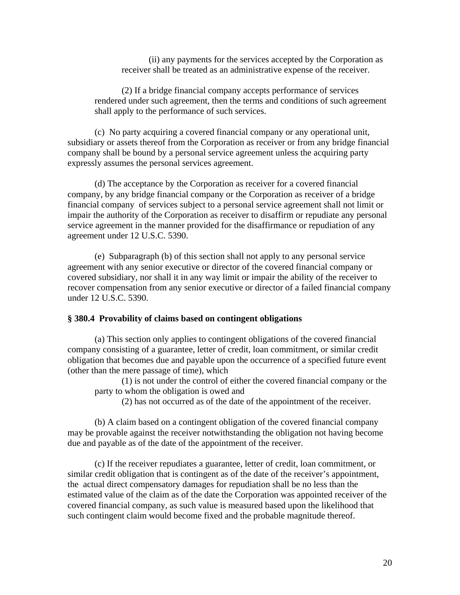(ii) any payments for the services accepted by the Corporation as receiver shall be treated as an administrative expense of the receiver.

(2) If a bridge financial company accepts performance of services rendered under such agreement, then the terms and conditions of such agreement shall apply to the performance of such services.

(c) No party acquiring a covered financial company or any operational unit, subsidiary or assets thereof from the Corporation as receiver or from any bridge financial company shall be bound by a personal service agreement unless the acquiring party expressly assumes the personal services agreement.

(d) The acceptance by the Corporation as receiver for a covered financial company, by any bridge financial company or the Corporation as receiver of a bridge financial company of services subject to a personal service agreement shall not limit or impair the authority of the Corporation as receiver to disaffirm or repudiate any personal service agreement in the manner provided for the disaffirmance or repudiation of any agreement under 12 U.S.C. 5390.

(e) Subparagraph (b) of this section shall not apply to any personal service agreement with any senior executive or director of the covered financial company or covered subsidiary, nor shall it in any way limit or impair the ability of the receiver to recover compensation from any senior executive or director of a failed financial company under 12 U.S.C. 5390.

#### **§ 380.4 Provability of claims based on contingent obligations**

(a) This section only applies to contingent obligations of the covered financial company consisting of a guarantee, letter of credit, loan commitment, or similar credit obligation that becomes due and payable upon the occurrence of a specified future event (other than the mere passage of time), which

(1) is not under the control of either the covered financial company or the party to whom the obligation is owed and

(2) has not occurred as of the date of the appointment of the receiver.

(b) A claim based on a contingent obligation of the covered financial company may be provable against the receiver notwithstanding the obligation not having become due and payable as of the date of the appointment of the receiver.

(c) If the receiver repudiates a guarantee, letter of credit, loan commitment, or similar credit obligation that is contingent as of the date of the receiver's appointment, the actual direct compensatory damages for repudiation shall be no less than the estimated value of the claim as of the date the Corporation was appointed receiver of the covered financial company, as such value is measured based upon the likelihood that such contingent claim would become fixed and the probable magnitude thereof.